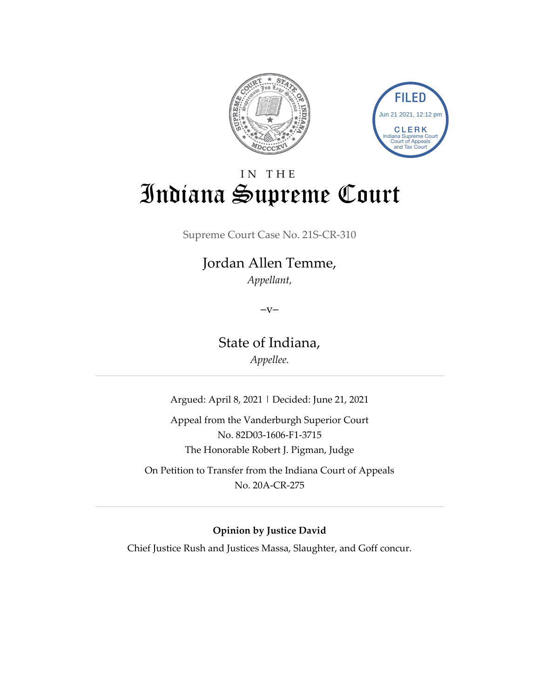



# IN THE Indiana Supreme Court

Supreme Court Case No. 21S-CR-310

### Jordan Allen Temme, *Appellant,*

 $-V-$ 

State of Indiana,

*Appellee.*

Argued: April 8, 2021 | Decided: June 21, 2021

Appeal from the Vanderburgh Superior Court No. 82D03-1606-F1-3715 The Honorable Robert J. Pigman, Judge

On Petition to Transfer from the Indiana Court of Appeals No. 20A-CR-275

#### **Opinion by Justice David**

Chief Justice Rush and Justices Massa, Slaughter, and Goff concur.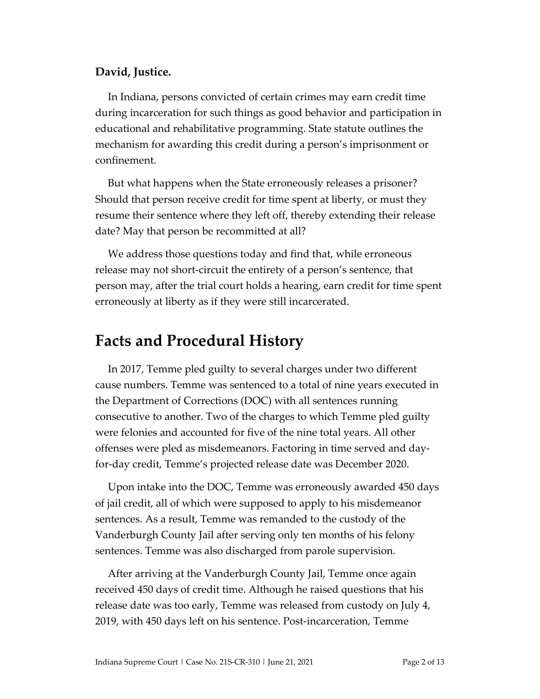#### **David, Justice.**

In Indiana, persons convicted of certain crimes may earn credit time during incarceration for such things as good behavior and participation in educational and rehabilitative programming. State statute outlines the mechanism for awarding this credit during a person's imprisonment or confinement.

But what happens when the State erroneously releases a prisoner? Should that person receive credit for time spent at liberty, or must they resume their sentence where they left off, thereby extending their release date? May that person be recommitted at all?

We address those questions today and find that, while erroneous release may not short-circuit the entirety of a person's sentence, that person may, after the trial court holds a hearing, earn credit for time spent erroneously at liberty as if they were still incarcerated.

### **Facts and Procedural History**

In 2017, Temme pled guilty to several charges under two different cause numbers. Temme was sentenced to a total of nine years executed in the Department of Corrections (DOC) with all sentences running consecutive to another. Two of the charges to which Temme pled guilty were felonies and accounted for five of the nine total years. All other offenses were pled as misdemeanors. Factoring in time served and dayfor-day credit, Temme's projected release date was December 2020.

Upon intake into the DOC, Temme was erroneously awarded 450 days of jail credit, all of which were supposed to apply to his misdemeanor sentences. As a result, Temme was remanded to the custody of the Vanderburgh County Jail after serving only ten months of his felony sentences. Temme was also discharged from parole supervision.

After arriving at the Vanderburgh County Jail, Temme once again received 450 days of credit time. Although he raised questions that his release date was too early, Temme was released from custody on July 4, 2019, with 450 days left on his sentence. Post-incarceration, Temme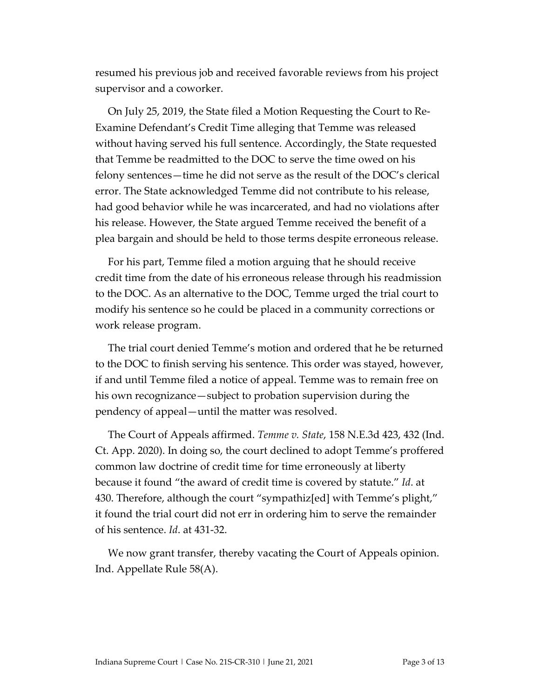resumed his previous job and received favorable reviews from his project supervisor and a coworker.

On July 25, 2019, the State filed a Motion Requesting the Court to Re-Examine Defendant's Credit Time alleging that Temme was released without having served his full sentence. Accordingly, the State requested that Temme be readmitted to the DOC to serve the time owed on his felony sentences—time he did not serve as the result of the DOC's clerical error. The State acknowledged Temme did not contribute to his release, had good behavior while he was incarcerated, and had no violations after his release. However, the State argued Temme received the benefit of a plea bargain and should be held to those terms despite erroneous release.

For his part, Temme filed a motion arguing that he should receive credit time from the date of his erroneous release through his readmission to the DOC. As an alternative to the DOC, Temme urged the trial court to modify his sentence so he could be placed in a community corrections or work release program.

The trial court denied Temme's motion and ordered that he be returned to the DOC to finish serving his sentence. This order was stayed, however, if and until Temme filed a notice of appeal. Temme was to remain free on his own recognizance—subject to probation supervision during the pendency of appeal—until the matter was resolved.

The Court of Appeals affirmed. *Temme v. State*, 158 N.E.3d 423, 432 (Ind. Ct. App. 2020). In doing so, the court declined to adopt Temme's proffered common law doctrine of credit time for time erroneously at liberty because it found "the award of credit time is covered by statute." *Id*. at 430. Therefore, although the court "sympathiz[ed] with Temme's plight," it found the trial court did not err in ordering him to serve the remainder of his sentence. *Id*. at 431-32.

We now grant transfer, thereby vacating the Court of Appeals opinion. Ind. Appellate Rule 58(A).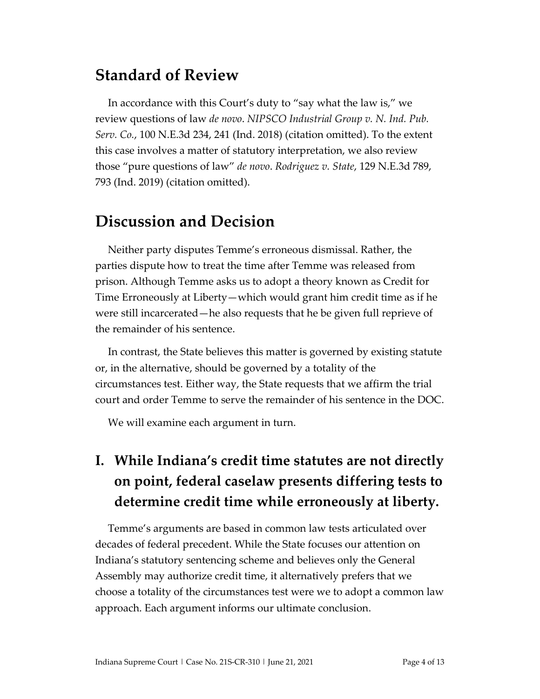## **Standard of Review**

In accordance with this Court's duty to "say what the law is," we review questions of law *de novo*. *NIPSCO Industrial Group v. N. Ind. Pub. Serv. Co.*, 100 N.E.3d 234, 241 (Ind. 2018) (citation omitted). To the extent this case involves a matter of statutory interpretation, we also review those "pure questions of law" *de novo*. *Rodriguez v. State*, 129 N.E.3d 789, 793 (Ind. 2019) (citation omitted).

## **Discussion and Decision**

Neither party disputes Temme's erroneous dismissal. Rather, the parties dispute how to treat the time after Temme was released from prison. Although Temme asks us to adopt a theory known as Credit for Time Erroneously at Liberty—which would grant him credit time as if he were still incarcerated—he also requests that he be given full reprieve of the remainder of his sentence.

In contrast, the State believes this matter is governed by existing statute or, in the alternative, should be governed by a totality of the circumstances test. Either way, the State requests that we affirm the trial court and order Temme to serve the remainder of his sentence in the DOC.

We will examine each argument in turn.

# **I. While Indiana's credit time statutes are not directly on point, federal caselaw presents differing tests to determine credit time while erroneously at liberty.**

Temme's arguments are based in common law tests articulated over decades of federal precedent. While the State focuses our attention on Indiana's statutory sentencing scheme and believes only the General Assembly may authorize credit time, it alternatively prefers that we choose a totality of the circumstances test were we to adopt a common law approach. Each argument informs our ultimate conclusion.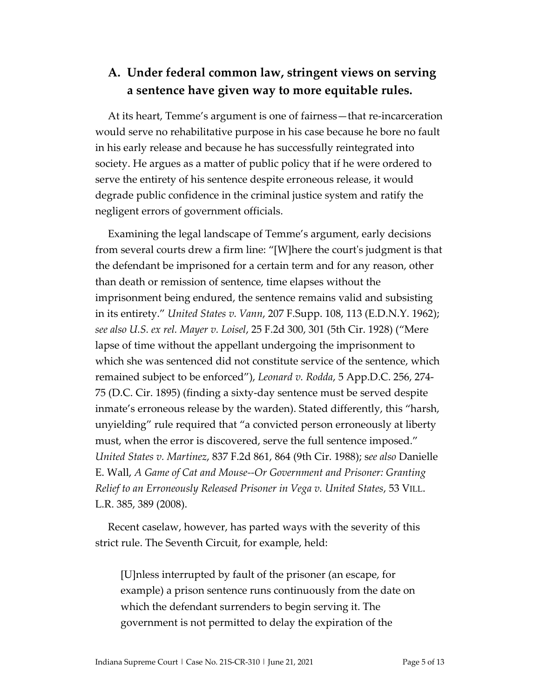#### **A. Under federal common law, stringent views on serving a sentence have given way to more equitable rules.**

At its heart, Temme's argument is one of fairness—that re-incarceration would serve no rehabilitative purpose in his case because he bore no fault in his early release and because he has successfully reintegrated into society. He argues as a matter of public policy that if he were ordered to serve the entirety of his sentence despite erroneous release, it would degrade public confidence in the criminal justice system and ratify the negligent errors of government officials.

Examining the legal landscape of Temme's argument, early decisions from several courts drew a firm line: "[W]here the court's judgment is that the defendant be imprisoned for a certain term and for any reason, other than death or remission of sentence, time elapses without the imprisonment being endured, the sentence remains valid and subsisting in its entirety." *United States v. Vann*, 207 F.Supp. 108, 113 (E.D.N.Y. 1962); *see also U.S. ex rel. Mayer v. Loisel*, 25 F.2d 300, 301 (5th Cir. 1928) ("Mere lapse of time without the appellant undergoing the imprisonment to which she was sentenced did not constitute service of the sentence, which remained subject to be enforced"), *Leonard v. Rodda*, 5 App.D.C. 256, 274- 75 (D.C. Cir. 1895) (finding a sixty-day sentence must be served despite inmate's erroneous release by the warden). Stated differently, this "harsh, unyielding" rule required that "a convicted person erroneously at liberty must, when the error is discovered, serve the full sentence imposed." *United States v. Martinez*, 837 F.2d 861, 864 (9th Cir. 1988); s*ee also* Danielle E. Wall, *A Game of Cat and Mouse--Or Government and Prisoner: Granting Relief to an Erroneously Released Prisoner in Vega v. United States*, 53 VILL. L.R. 385, 389 (2008).

Recent caselaw, however, has parted ways with the severity of this strict rule. The Seventh Circuit, for example, held:

[U]nless interrupted by fault of the prisoner (an escape, for example) a prison sentence runs continuously from the date on which the defendant surrenders to begin serving it. The government is not permitted to delay the expiration of the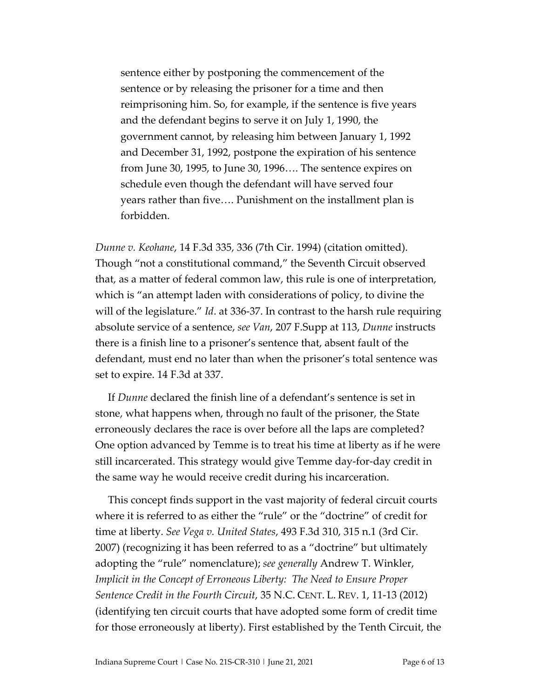sentence either by postponing the commencement of the sentence or by releasing the prisoner for a time and then reimprisoning him. So, for example, if the sentence is five years and the defendant begins to serve it on July 1, 1990, the government cannot, by releasing him between January 1, 1992 and December 31, 1992, postpone the expiration of his sentence from June 30, 1995, to June 30, 1996…. The sentence expires on schedule even though the defendant will have served four years rather than five…. Punishment on the installment plan is forbidden.

*Dunne v. Keohane*, 14 F.3d 335, 336 (7th Cir. 1994) (citation omitted). Though "not a constitutional command," the Seventh Circuit observed that, as a matter of federal common law, this rule is one of interpretation, which is "an attempt laden with considerations of policy, to divine the will of the legislature." *Id*. at 336-37. In contrast to the harsh rule requiring absolute service of a sentence, *see Van*, 207 F.Supp at 113, *Dunne* instructs there is a finish line to a prisoner's sentence that, absent fault of the defendant, must end no later than when the prisoner's total sentence was set to expire. 14 F.3d at 337.

If *Dunne* declared the finish line of a defendant's sentence is set in stone, what happens when, through no fault of the prisoner, the State erroneously declares the race is over before all the laps are completed? One option advanced by Temme is to treat his time at liberty as if he were still incarcerated. This strategy would give Temme day-for-day credit in the same way he would receive credit during his incarceration.

This concept finds support in the vast majority of federal circuit courts where it is referred to as either the "rule" or the "doctrine" of credit for time at liberty. *See Vega v. United States*, 493 F.3d 310, 315 n.1 (3rd Cir. 2007) (recognizing it has been referred to as a "doctrine" but ultimately adopting the "rule" nomenclature); *see generally* Andrew T. Winkler, *Implicit in the Concept of Erroneous Liberty: The Need to Ensure Proper Sentence Credit in the Fourth Circuit*, 35 N.C. CENT. L. REV. 1, 11-13 (2012) (identifying ten circuit courts that have adopted some form of credit time for those erroneously at liberty). First established by the Tenth Circuit, the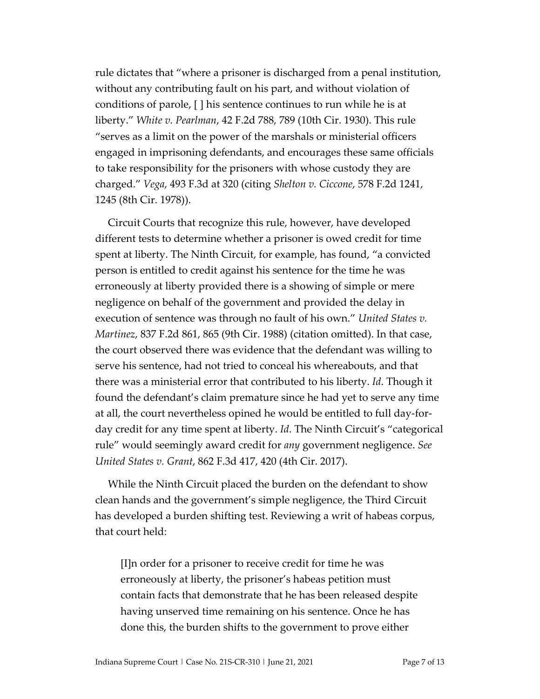rule dictates that "where a prisoner is discharged from a penal institution, without any contributing fault on his part, and without violation of conditions of parole, [ ] his sentence continues to run while he is at liberty." *White v. Pearlman*, 42 F.2d 788, 789 (10th Cir. 1930). This rule "serves as a limit on the power of the marshals or ministerial officers engaged in imprisoning defendants, and encourages these same officials to take responsibility for the prisoners with whose custody they are charged." *Vega*, 493 F.3d at 320 (citing *Shelton v. Ciccone*, 578 F.2d 1241, 1245 (8th Cir. 1978)).

Circuit Courts that recognize this rule, however, have developed different tests to determine whether a prisoner is owed credit for time spent at liberty. The Ninth Circuit, for example, has found, "a convicted person is entitled to credit against his sentence for the time he was erroneously at liberty provided there is a showing of simple or mere negligence on behalf of the government and provided the delay in execution of sentence was through no fault of his own." *United States v. Martinez*, 837 F.2d 861, 865 (9th Cir. 1988) (citation omitted). In that case, the court observed there was evidence that the defendant was willing to serve his sentence, had not tried to conceal his whereabouts, and that there was a ministerial error that contributed to his liberty. *Id*. Though it found the defendant's claim premature since he had yet to serve any time at all, the court nevertheless opined he would be entitled to full day-forday credit for any time spent at liberty. *Id*. The Ninth Circuit's "categorical rule" would seemingly award credit for *any* government negligence. *See United States v. Grant*, 862 F.3d 417, 420 (4th Cir. 2017).

While the Ninth Circuit placed the burden on the defendant to show clean hands and the government's simple negligence, the Third Circuit has developed a burden shifting test. Reviewing a writ of habeas corpus, that court held:

[I]n order for a prisoner to receive credit for time he was erroneously at liberty, the prisoner's habeas petition must contain facts that demonstrate that he has been released despite having unserved time remaining on his sentence. Once he has done this, the burden shifts to the government to prove either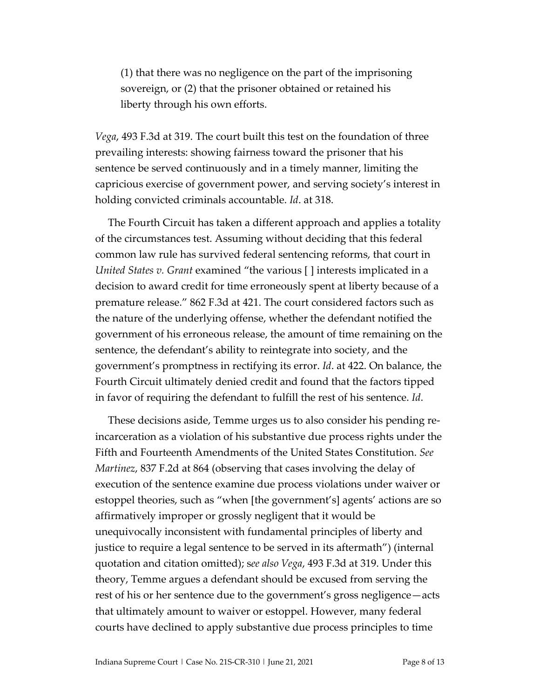(1) that there was no negligence on the part of the imprisoning sovereign, or (2) that the prisoner obtained or retained his liberty through his own efforts.

*Vega*, 493 F.3d at 319. The court built this test on the foundation of three prevailing interests: showing fairness toward the prisoner that his sentence be served continuously and in a timely manner, limiting the capricious exercise of government power, and serving society's interest in holding convicted criminals accountable. *Id*. at 318.

The Fourth Circuit has taken a different approach and applies a totality of the circumstances test. Assuming without deciding that this federal common law rule has survived federal sentencing reforms, that court in *United States v. Grant* examined "the various [ ] interests implicated in a decision to award credit for time erroneously spent at liberty because of a premature release." 862 F.3d at 421. The court considered factors such as the nature of the underlying offense, whether the defendant notified the government of his erroneous release, the amount of time remaining on the sentence, the defendant's ability to reintegrate into society, and the government's promptness in rectifying its error. *Id*. at 422. On balance, the Fourth Circuit ultimately denied credit and found that the factors tipped in favor of requiring the defendant to fulfill the rest of his sentence. *Id*.

These decisions aside, Temme urges us to also consider his pending reincarceration as a violation of his substantive due process rights under the Fifth and Fourteenth Amendments of the United States Constitution. *See Martinez*, 837 F.2d at 864 (observing that cases involving the delay of execution of the sentence examine due process violations under waiver or estoppel theories, such as "when [the government's] agents' actions are so affirmatively improper or grossly negligent that it would be unequivocally inconsistent with fundamental principles of liberty and justice to require a legal sentence to be served in its aftermath") (internal quotation and citation omitted); s*ee also Vega*, 493 F.3d at 319. Under this theory, Temme argues a defendant should be excused from serving the rest of his or her sentence due to the government's gross negligence—acts that ultimately amount to waiver or estoppel. However, many federal courts have declined to apply substantive due process principles to time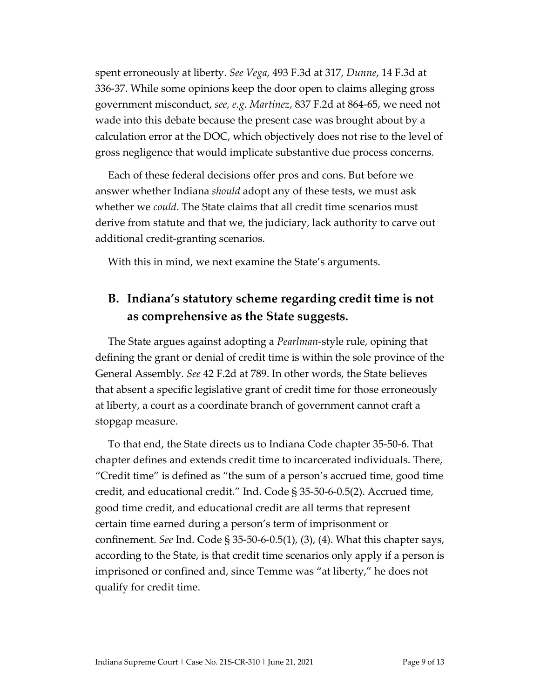spent erroneously at liberty. *See Vega*, 493 F.3d at 317, *Dunne*, 14 F.3d at 336-37. While some opinions keep the door open to claims alleging gross government misconduct, *see, e.g. Martinez*, 837 F.2d at 864-65, we need not wade into this debate because the present case was brought about by a calculation error at the DOC, which objectively does not rise to the level of gross negligence that would implicate substantive due process concerns.

Each of these federal decisions offer pros and cons. But before we answer whether Indiana *should* adopt any of these tests, we must ask whether we *could*. The State claims that all credit time scenarios must derive from statute and that we, the judiciary, lack authority to carve out additional credit-granting scenarios.

With this in mind, we next examine the State's arguments.

#### **B. Indiana's statutory scheme regarding credit time is not as comprehensive as the State suggests.**

The State argues against adopting a *Pearlman*-style rule, opining that defining the grant or denial of credit time is within the sole province of the General Assembly. *See* 42 F.2d at 789. In other words, the State believes that absent a specific legislative grant of credit time for those erroneously at liberty, a court as a coordinate branch of government cannot craft a stopgap measure.

To that end, the State directs us to Indiana Code chapter 35-50-6. That chapter defines and extends credit time to incarcerated individuals. There, "Credit time" is defined as "the sum of a person's accrued time, good time credit, and educational credit." Ind. Code § 35-50-6-0.5(2). Accrued time, good time credit, and educational credit are all terms that represent certain time earned during a person's term of imprisonment or confinement. *See* Ind. Code § 35-50-6-0.5(1), (3), (4). What this chapter says, according to the State, is that credit time scenarios only apply if a person is imprisoned or confined and, since Temme was "at liberty," he does not qualify for credit time.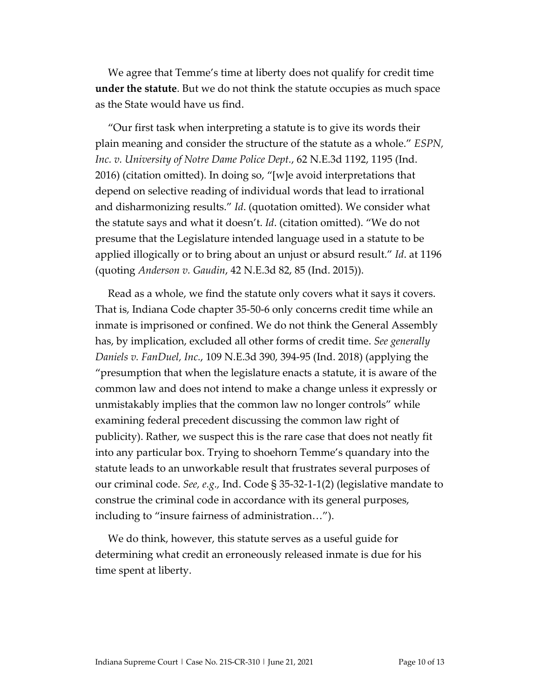We agree that Temme's time at liberty does not qualify for credit time **under the statute**. But we do not think the statute occupies as much space as the State would have us find.

"Our first task when interpreting a statute is to give its words their plain meaning and consider the structure of the statute as a whole." *ESPN, Inc. v. University of Notre Dame Police Dept.*, 62 N.E.3d 1192, 1195 (Ind. 2016) (citation omitted). In doing so, "[w]e avoid interpretations that depend on selective reading of individual words that lead to irrational and disharmonizing results." *Id*. (quotation omitted). We consider what the statute says and what it doesn't. *Id*. (citation omitted). "We do not presume that the Legislature intended language used in a statute to be applied illogically or to bring about an unjust or absurd result." *Id*. at 1196 (quoting *Anderson v. Gaudin*, 42 N.E.3d 82, 85 (Ind. 2015)).

Read as a whole, we find the statute only covers what it says it covers. That is, Indiana Code chapter 35-50-6 only concerns credit time while an inmate is imprisoned or confined. We do not think the General Assembly has, by implication, excluded all other forms of credit time. *See generally Daniels v. FanDuel, Inc.*, 109 N.E.3d 390, 394-95 (Ind. 2018) (applying the "presumption that when the legislature enacts a statute, it is aware of the common law and does not intend to make a change unless it expressly or unmistakably implies that the common law no longer controls" while examining federal precedent discussing the common law right of publicity). Rather, we suspect this is the rare case that does not neatly fit into any particular box. Trying to shoehorn Temme's quandary into the statute leads to an unworkable result that frustrates several purposes of our criminal code. *See, e.g.,* Ind. Code § 35-32-1-1(2) (legislative mandate to construe the criminal code in accordance with its general purposes, including to "insure fairness of administration…").

We do think, however, this statute serves as a useful guide for determining what credit an erroneously released inmate is due for his time spent at liberty.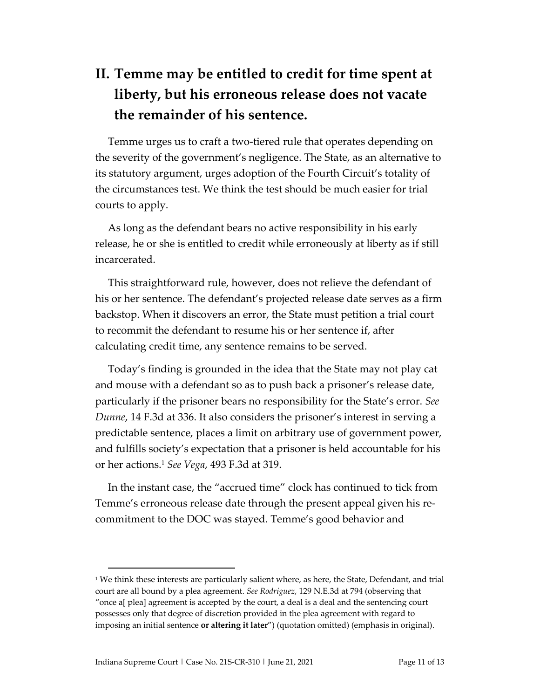# **II. Temme may be entitled to credit for time spent at liberty, but his erroneous release does not vacate the remainder of his sentence.**

Temme urges us to craft a two-tiered rule that operates depending on the severity of the government's negligence. The State, as an alternative to its statutory argument, urges adoption of the Fourth Circuit's totality of the circumstances test. We think the test should be much easier for trial courts to apply.

As long as the defendant bears no active responsibility in his early release, he or she is entitled to credit while erroneously at liberty as if still incarcerated.

This straightforward rule, however, does not relieve the defendant of his or her sentence. The defendant's projected release date serves as a firm backstop. When it discovers an error, the State must petition a trial court to recommit the defendant to resume his or her sentence if, after calculating credit time, any sentence remains to be served.

Today's finding is grounded in the idea that the State may not play cat and mouse with a defendant so as to push back a prisoner's release date, particularly if the prisoner bears no responsibility for the State's error. *See Dunne*, 14 F.3d at 336. It also considers the prisoner's interest in serving a predictable sentence, places a limit on arbitrary use of government power, and fulfills society's expectation that a prisoner is held accountable for his or her actions.<sup>1</sup> *See Vega*, 493 F.3d at 319.

In the instant case, the "accrued time" clock has continued to tick from Temme's erroneous release date through the present appeal given his recommitment to the DOC was stayed. Temme's good behavior and

 $1$  We think these interests are particularly salient where, as here, the State, Defendant, and trial court are all bound by a plea agreement. *See Rodriguez*, 129 N.E.3d at 794 (observing that "once a[ plea] agreement is accepted by the court, a deal is a deal and the sentencing court possesses only that degree of discretion provided in the plea agreement with regard to imposing an initial sentence **or altering it later**") (quotation omitted) (emphasis in original).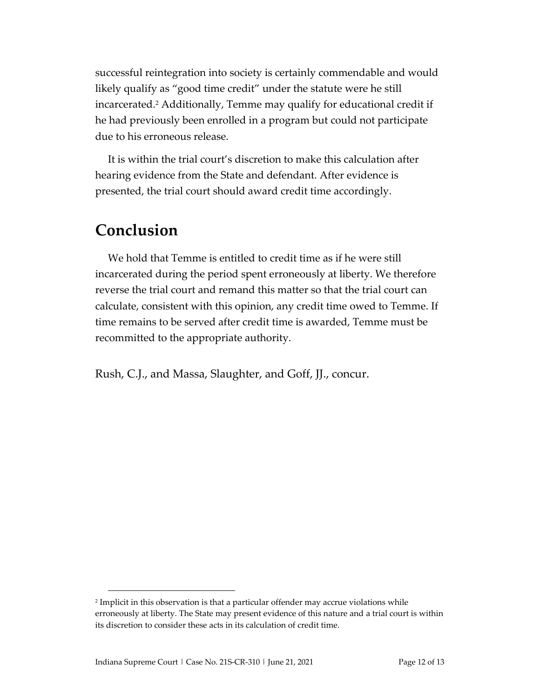successful reintegration into society is certainly commendable and would likely qualify as "good time credit" under the statute were he still incarcerated.<sup>2</sup> Additionally, Temme may qualify for educational credit if he had previously been enrolled in a program but could not participate due to his erroneous release.

It is within the trial court's discretion to make this calculation after hearing evidence from the State and defendant. After evidence is presented, the trial court should award credit time accordingly.

## **Conclusion**

We hold that Temme is entitled to credit time as if he were still incarcerated during the period spent erroneously at liberty. We therefore reverse the trial court and remand this matter so that the trial court can calculate, consistent with this opinion, any credit time owed to Temme. If time remains to be served after credit time is awarded, Temme must be recommitted to the appropriate authority.

Rush, C.J., and Massa, Slaughter, and Goff, JJ., concur.

<sup>2</sup> Implicit in this observation is that a particular offender may accrue violations while erroneously at liberty. The State may present evidence of this nature and a trial court is within its discretion to consider these acts in its calculation of credit time.